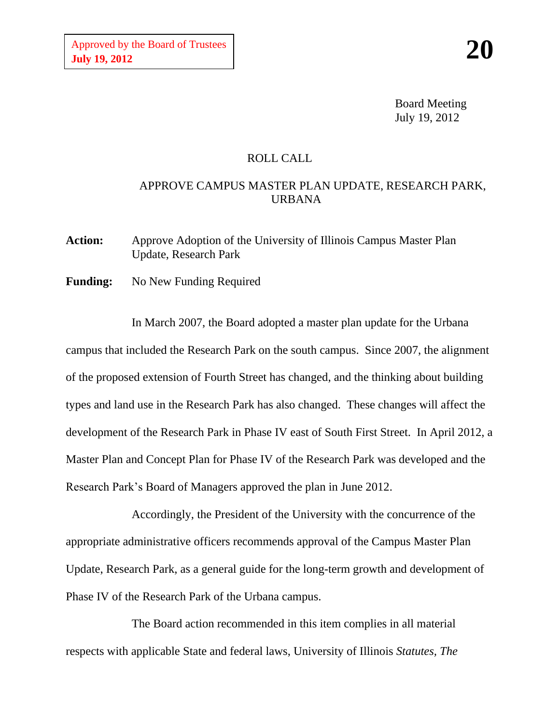Board Meeting July 19, 2012

## ROLL CALL

## APPROVE CAMPUS MASTER PLAN UPDATE, RESEARCH PARK, URBANA

**Action:** Approve Adoption of the University of Illinois Campus Master Plan Update, Research Park

**Funding:** No New Funding Required

In March 2007, the Board adopted a master plan update for the Urbana campus that included the Research Park on the south campus. Since 2007, the alignment of the proposed extension of Fourth Street has changed, and the thinking about building types and land use in the Research Park has also changed. These changes will affect the development of the Research Park in Phase IV east of South First Street. In April 2012, a Master Plan and Concept Plan for Phase IV of the Research Park was developed and the Research Park's Board of Managers approved the plan in June 2012.

Accordingly, the President of the University with the concurrence of the appropriate administrative officers recommends approval of the Campus Master Plan Update, Research Park, as a general guide for the long-term growth and development of Phase IV of the Research Park of the Urbana campus.

The Board action recommended in this item complies in all material respects with applicable State and federal laws, University of Illinois *Statutes, The*